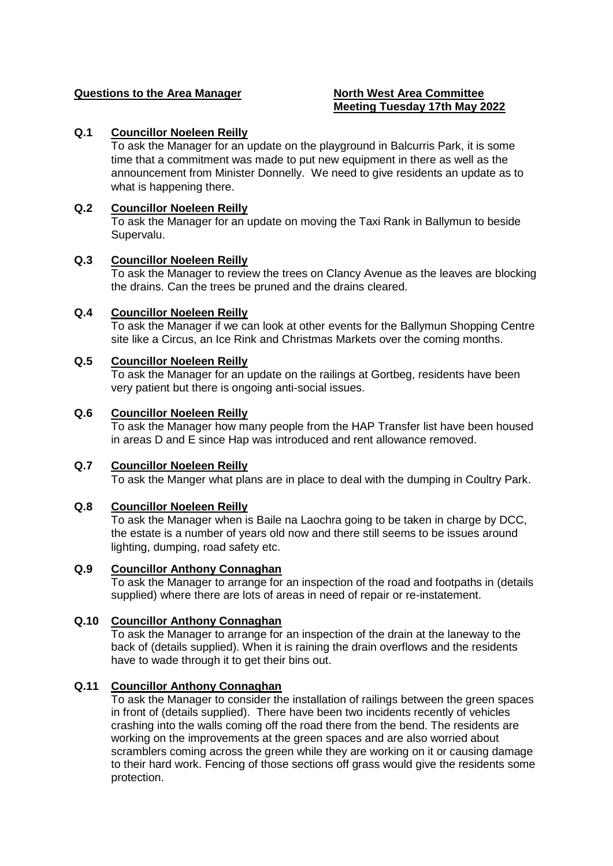## **Questions to the Area Manager North West Area Committee**

# **Meeting Tuesday 17th May 2022**

## **Q.1 Councillor Noeleen Reilly**

To ask the Manager for an update on the playground in Balcurris Park, it is some time that a commitment was made to put new equipment in there as well as the announcement from Minister Donnelly. We need to give residents an update as to what is happening there.

## **Q.2 Councillor Noeleen Reilly**

To ask the Manager for an update on moving the Taxi Rank in Ballymun to beside Supervalu.

## **Q.3 Councillor Noeleen Reilly**

To ask the Manager to review the trees on Clancy Avenue as the leaves are blocking the drains. Can the trees be pruned and the drains cleared.

## **Q.4 Councillor Noeleen Reilly**

To ask the Manager if we can look at other events for the Ballymun Shopping Centre site like a Circus, an Ice Rink and Christmas Markets over the coming months.

## **Q.5 Councillor Noeleen Reilly**

To ask the Manager for an update on the railings at Gortbeg, residents have been very patient but there is ongoing anti-social issues.

## **Q.6 Councillor Noeleen Reilly**

To ask the Manager how many people from the HAP Transfer list have been housed in areas D and E since Hap was introduced and rent allowance removed.

## **Q.7 Councillor Noeleen Reilly**

To ask the Manger what plans are in place to deal with the dumping in Coultry Park.

## **Q.8 Councillor Noeleen Reilly**

To ask the Manager when is Baile na Laochra going to be taken in charge by DCC, the estate is a number of years old now and there still seems to be issues around lighting, dumping, road safety etc.

## **Q.9 Councillor Anthony Connaghan**

To ask the Manager to arrange for an inspection of the road and footpaths in (details supplied) where there are lots of areas in need of repair or re-instatement.

## **Q.10 Councillor Anthony Connaghan**

To ask the Manager to arrange for an inspection of the drain at the laneway to the back of (details supplied). When it is raining the drain overflows and the residents have to wade through it to get their bins out.

## **Q.11 Councillor Anthony Connaghan**

To ask the Manager to consider the installation of railings between the green spaces in front of (details supplied). There have been two incidents recently of vehicles crashing into the walls coming off the road there from the bend. The residents are working on the improvements at the green spaces and are also worried about scramblers coming across the green while they are working on it or causing damage to their hard work. Fencing of those sections off grass would give the residents some protection.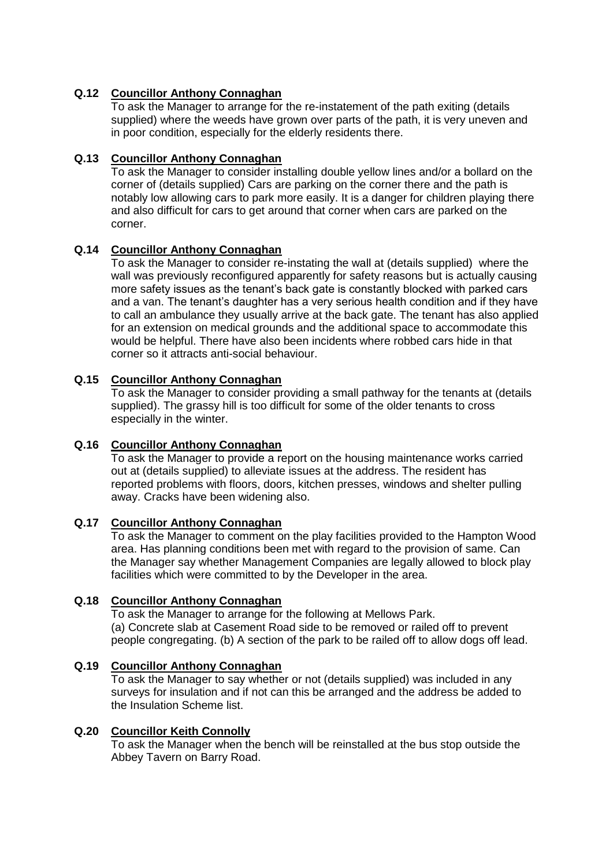## **Q.12 Councillor Anthony Connaghan**

To ask the Manager to arrange for the re-instatement of the path exiting (details supplied) where the weeds have grown over parts of the path, it is very uneven and in poor condition, especially for the elderly residents there.

## **Q.13 Councillor Anthony Connaghan**

To ask the Manager to consider installing double yellow lines and/or a bollard on the corner of (details supplied) Cars are parking on the corner there and the path is notably low allowing cars to park more easily. It is a danger for children playing there and also difficult for cars to get around that corner when cars are parked on the corner.

## **Q.14 Councillor Anthony Connaghan**

To ask the Manager to consider re-instating the wall at (details supplied) where the wall was previously reconfigured apparently for safety reasons but is actually causing more safety issues as the tenant's back gate is constantly blocked with parked cars and a van. The tenant's daughter has a very serious health condition and if they have to call an ambulance they usually arrive at the back gate. The tenant has also applied for an extension on medical grounds and the additional space to accommodate this would be helpful. There have also been incidents where robbed cars hide in that corner so it attracts anti-social behaviour.

## **Q.15 Councillor Anthony Connaghan**

To ask the Manager to consider providing a small pathway for the tenants at (details supplied). The grassy hill is too difficult for some of the older tenants to cross especially in the winter.

## **Q.16 Councillor Anthony Connaghan**

To ask the Manager to provide a report on the housing maintenance works carried out at (details supplied) to alleviate issues at the address. The resident has reported problems with floors, doors, kitchen presses, windows and shelter pulling away. Cracks have been widening also.

## **Q.17 Councillor Anthony Connaghan**

To ask the Manager to comment on the play facilities provided to the Hampton Wood area. Has planning conditions been met with regard to the provision of same. Can the Manager say whether Management Companies are legally allowed to block play facilities which were committed to by the Developer in the area.

## **Q.18 Councillor Anthony Connaghan**

To ask the Manager to arrange for the following at Mellows Park. (a) Concrete slab at Casement Road side to be removed or railed off to prevent people congregating. (b) A section of the park to be railed off to allow dogs off lead.

## **Q.19 Councillor Anthony Connaghan**

To ask the Manager to say whether or not (details supplied) was included in any surveys for insulation and if not can this be arranged and the address be added to the Insulation Scheme list.

## **Q.20 Councillor Keith Connolly**

To ask the Manager when the bench will be reinstalled at the bus stop outside the Abbey Tavern on Barry Road.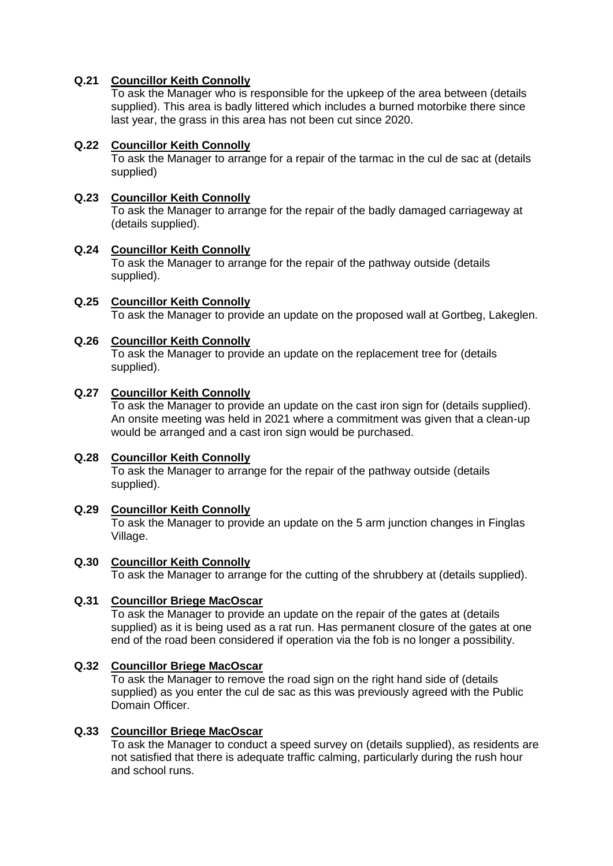## **Q.21 Councillor Keith Connolly**

To ask the Manager who is responsible for the upkeep of the area between (details supplied). This area is badly littered which includes a burned motorbike there since last year, the grass in this area has not been cut since 2020.

## **Q.22 Councillor Keith Connolly**

To ask the Manager to arrange for a repair of the tarmac in the cul de sac at (details supplied)

#### **Q.23 Councillor Keith Connolly** To ask the Manager to arrange for the repair of the badly damaged carriageway at (details supplied).

## **Q.24 Councillor Keith Connolly**

To ask the Manager to arrange for the repair of the pathway outside (details supplied).

#### **Q.25 Councillor Keith Connolly** To ask the Manager to provide an update on the proposed wall at Gortbeg, Lakeglen.

## **Q.26 Councillor Keith Connolly**

To ask the Manager to provide an update on the replacement tree for (details supplied).

## **Q.27 Councillor Keith Connolly**

To ask the Manager to provide an update on the cast iron sign for (details supplied). An onsite meeting was held in 2021 where a commitment was given that a clean-up would be arranged and a cast iron sign would be purchased.

## **Q.28 Councillor Keith Connolly**

To ask the Manager to arrange for the repair of the pathway outside (details supplied).

## **Q.29 Councillor Keith Connolly**

To ask the Manager to provide an update on the 5 arm junction changes in Finglas Village.

#### **Q.30 Councillor Keith Connolly**

To ask the Manager to arrange for the cutting of the shrubbery at (details supplied).

## **Q.31 Councillor Briege MacOscar**

To ask the Manager to provide an update on the repair of the gates at (details supplied) as it is being used as a rat run. Has permanent closure of the gates at one end of the road been considered if operation via the fob is no longer a possibility.

## **Q.32 Councillor Briege MacOscar**

To ask the Manager to remove the road sign on the right hand side of (details supplied) as you enter the cul de sac as this was previously agreed with the Public Domain Officer.

#### **Q.33 Councillor Briege MacOscar**

To ask the Manager to conduct a speed survey on (details supplied), as residents are not satisfied that there is adequate traffic calming, particularly during the rush hour and school runs.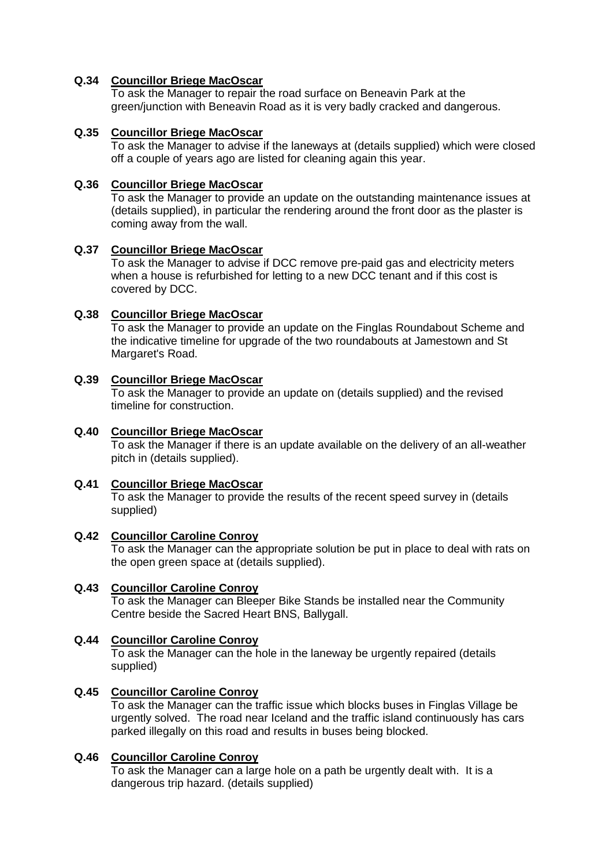## **Q.34 Councillor Briege MacOscar**

To ask the Manager to repair the road surface on Beneavin Park at the green/junction with Beneavin Road as it is very badly cracked and dangerous.

## **Q.35 Councillor Briege MacOscar**

To ask the Manager to advise if the laneways at (details supplied) which were closed off a couple of years ago are listed for cleaning again this year.

## **Q.36 Councillor Briege MacOscar**

To ask the Manager to provide an update on the outstanding maintenance issues at (details supplied), in particular the rendering around the front door as the plaster is coming away from the wall.

## **Q.37 Councillor Briege MacOscar**

To ask the Manager to advise if DCC remove pre-paid gas and electricity meters when a house is refurbished for letting to a new DCC tenant and if this cost is covered by DCC.

## **Q.38 Councillor Briege MacOscar**

To ask the Manager to provide an update on the Finglas Roundabout Scheme and the indicative timeline for upgrade of the two roundabouts at Jamestown and St Margaret's Road.

## **Q.39 Councillor Briege MacOscar**

To ask the Manager to provide an update on (details supplied) and the revised timeline for construction.

## **Q.40 Councillor Briege MacOscar**

To ask the Manager if there is an update available on the delivery of an all-weather pitch in (details supplied).

## **Q.41 Councillor Briege MacOscar**

To ask the Manager to provide the results of the recent speed survey in (details supplied)

## **Q.42 Councillor Caroline Conroy**

To ask the Manager can the appropriate solution be put in place to deal with rats on the open green space at (details supplied).

## **Q.43 Councillor Caroline Conroy**

To ask the Manager can Bleeper Bike Stands be installed near the Community Centre beside the Sacred Heart BNS, Ballygall.

## **Q.44 Councillor Caroline Conroy**

To ask the Manager can the hole in the laneway be urgently repaired (details supplied)

## **Q.45 Councillor Caroline Conroy**

To ask the Manager can the traffic issue which blocks buses in Finglas Village be urgently solved. The road near Iceland and the traffic island continuously has cars parked illegally on this road and results in buses being blocked.

## **Q.46 Councillor Caroline Conroy**

To ask the Manager can a large hole on a path be urgently dealt with. It is a dangerous trip hazard. (details supplied)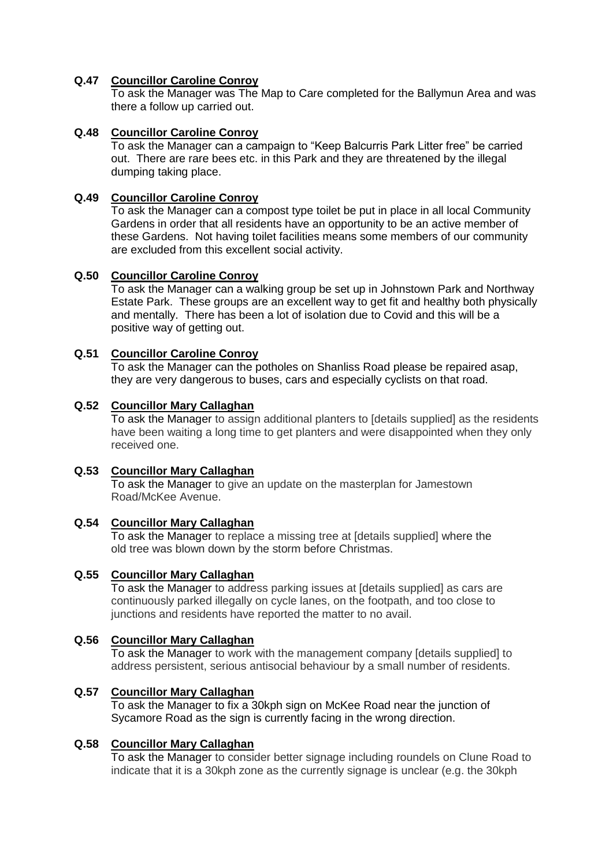## **Q.47 Councillor Caroline Conroy**

To ask the Manager was The Map to Care completed for the Ballymun Area and was there a follow up carried out.

## **Q.48 Councillor Caroline Conroy**

To ask the Manager can a campaign to "Keep Balcurris Park Litter free" be carried out. There are rare bees etc. in this Park and they are threatened by the illegal dumping taking place.

## **Q.49 Councillor Caroline Conroy**

To ask the Manager can a compost type toilet be put in place in all local Community Gardens in order that all residents have an opportunity to be an active member of these Gardens. Not having toilet facilities means some members of our community are excluded from this excellent social activity.

## **Q.50 Councillor Caroline Conroy**

To ask the Manager can a walking group be set up in Johnstown Park and Northway Estate Park. These groups are an excellent way to get fit and healthy both physically and mentally. There has been a lot of isolation due to Covid and this will be a positive way of getting out.

## **Q.51 Councillor Caroline Conroy**

To ask the Manager can the potholes on Shanliss Road please be repaired asap, they are very dangerous to buses, cars and especially cyclists on that road.

#### **Q.52 Councillor Mary Callaghan**

To ask the Manager to assign additional planters to [details supplied] as the residents have been waiting a long time to get planters and were disappointed when they only received one.

## **Q.53 Councillor Mary Callaghan**

To ask the Manager to give an update on the masterplan for Jamestown Road/McKee Avenue.

## **Q.54 Councillor Mary Callaghan**

To ask the Manager to replace a missing tree at [details supplied] where the old tree was blown down by the storm before Christmas.

## **Q.55 Councillor Mary Callaghan**

To ask the Manager to address parking issues at [details supplied] as cars are continuously parked illegally on cycle lanes, on the footpath, and too close to junctions and residents have reported the matter to no avail.

## **Q.56 Councillor Mary Callaghan**

To ask the Manager to work with the management company [details supplied] to address persistent, serious antisocial behaviour by a small number of residents.

#### **Q.57 Councillor Mary Callaghan**

To ask the Manager to fix a 30kph sign on McKee Road near the junction of Sycamore Road as the sign is currently facing in the wrong direction.

#### **Q.58 Councillor Mary Callaghan**

To ask the Manager to consider better signage including roundels on Clune Road to indicate that it is a 30kph zone as the currently signage is unclear (e.g. the 30kph